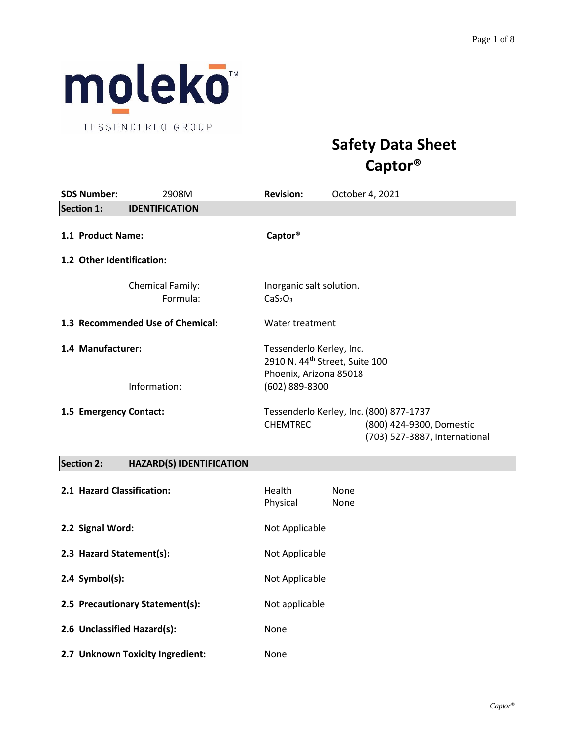

TESSENDERLO GROUP

# **Safety Data Sheet Captor®**

| <b>SDS Number:</b>                         | 2908M                               | <b>Revision:</b>                                            | October 4, 2021                                                                                      |
|--------------------------------------------|-------------------------------------|-------------------------------------------------------------|------------------------------------------------------------------------------------------------------|
| <b>Section 1:</b><br><b>IDENTIFICATION</b> |                                     |                                                             |                                                                                                      |
| 1.1 Product Name:                          |                                     | Captor <sup>®</sup>                                         |                                                                                                      |
| 1.2 Other Identification:                  |                                     |                                                             |                                                                                                      |
|                                            | <b>Chemical Family:</b><br>Formula: | Inorganic salt solution.<br>CaS <sub>2</sub> O <sub>3</sub> |                                                                                                      |
|                                            | 1.3 Recommended Use of Chemical:    | Water treatment                                             |                                                                                                      |
| 1.4 Manufacturer:                          |                                     | Tessenderlo Kerley, Inc.<br>Phoenix, Arizona 85018          | 2910 N. 44 <sup>th</sup> Street, Suite 100                                                           |
|                                            | Information:                        | (602) 889-8300                                              |                                                                                                      |
| 1.5 Emergency Contact:                     |                                     | <b>CHEMTREC</b>                                             | Tessenderlo Kerley, Inc. (800) 877-1737<br>(800) 424-9300, Domestic<br>(703) 527-3887, International |
|                                            |                                     |                                                             |                                                                                                      |

# **Section 2: HAZARD(S) IDENTIFICATION**

| 2.1 Hazard Classification:       | <b>Health</b><br>Physical | None<br>None |
|----------------------------------|---------------------------|--------------|
| 2.2 Signal Word:                 | Not Applicable            |              |
| 2.3 Hazard Statement(s):         | Not Applicable            |              |
| $2.4$ Symbol(s):                 | Not Applicable            |              |
| 2.5 Precautionary Statement(s):  | Not applicable            |              |
| 2.6 Unclassified Hazard(s):      | None                      |              |
| 2.7 Unknown Toxicity Ingredient: | None                      |              |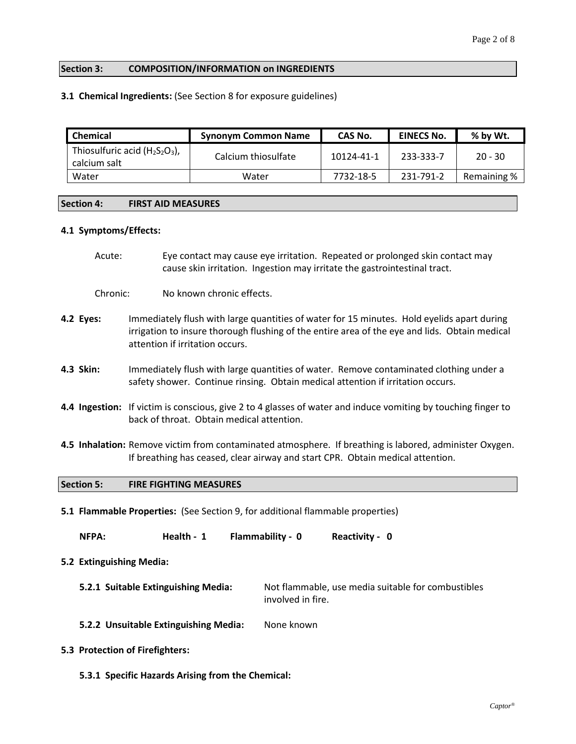### **Section 3: COMPOSITION/INFORMATION on INGREDIENTS**

#### **3.1 Chemical Ingredients:** (See Section 8 for exposure guidelines)

| <b>Chemical</b>                                   | <b>Synonym Common Name</b> | CAS No.    | <b>EINECS No.</b> | % by Wt.    |
|---------------------------------------------------|----------------------------|------------|-------------------|-------------|
| Thiosulfuric acid $(H_2S_2O_3)$ ,<br>calcium salt | Calcium thiosulfate        | 10124-41-1 | 233-333-7         | $20 - 30$   |
| Water                                             | Water                      | 7732-18-5  | 231-791-2         | Remaining % |

#### **Section 4: FIRST AID MEASURES**

#### **4.1 Symptoms/Effects:**

Acute: Eye contact may cause eye irritation. Repeated or prolonged skin contact may cause skin irritation. Ingestion may irritate the gastrointestinal tract.

Chronic: No known chronic effects.

- **4.2 Eyes:** Immediately flush with large quantities of water for 15 minutes. Hold eyelids apart during irrigation to insure thorough flushing of the entire area of the eye and lids. Obtain medical attention if irritation occurs.
- **4.3 Skin:** Immediately flush with large quantities of water. Remove contaminated clothing under a safety shower. Continue rinsing. Obtain medical attention if irritation occurs.
- **4.4 Ingestion:** If victim is conscious, give 2 to 4 glasses of water and induce vomiting by touching finger to back of throat. Obtain medical attention.
- **4.5 Inhalation:** Remove victim from contaminated atmosphere. If breathing is labored, administer Oxygen. If breathing has ceased, clear airway and start CPR. Obtain medical attention.

#### **Section 5: FIRE FIGHTING MEASURES**

**5.1 Flammable Properties:** (See Section 9, for additional flammable properties)

**NFPA: Health - 1 Flammability - 0 Reactivity - 0**

- **5.2 Extinguishing Media:**
	- **5.2.1 Suitable Extinguishing Media:** Not flammable, use media suitable for combustibles involved in fire.
	- **5.2.2 Unsuitable Extinguishing Media:** None known
- **5.3 Protection of Firefighters:**
	- **5.3.1 Specific Hazards Arising from the Chemical:**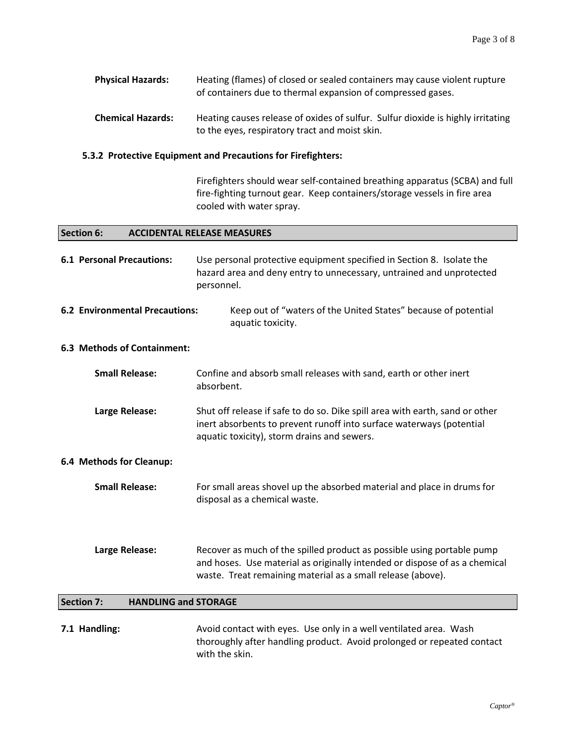| Physical Hazards: | Heating (flames) of closed or sealed containers may cause violent rupture |
|-------------------|---------------------------------------------------------------------------|
|                   | of containers due to thermal expansion of compressed gases.               |

**Chemical Hazards:** Heating causes release of oxides of sulfur. Sulfur dioxide is highly irritating to the eyes, respiratory tract and moist skin.

#### **5.3.2 Protective Equipment and Precautions for Firefighters:**

Firefighters should wear self-contained breathing apparatus (SCBA) and full fire-fighting turnout gear. Keep containers/storage vessels in fire area cooled with water spray.

#### **Section 6: ACCIDENTAL RELEASE MEASURES**

| <b>6.1 Personal Precautions:</b>                 | Use personal protective equipment specified in Section 8. Isolate the<br>hazard area and deny entry to unnecessary, untrained and unprotected<br>personnel.                                                         |  |
|--------------------------------------------------|---------------------------------------------------------------------------------------------------------------------------------------------------------------------------------------------------------------------|--|
| <b>6.2 Environmental Precautions:</b>            | Keep out of "waters of the United States" because of potential<br>aquatic toxicity.                                                                                                                                 |  |
| 6.3 Methods of Containment:                      |                                                                                                                                                                                                                     |  |
| <b>Small Release:</b>                            | Confine and absorb small releases with sand, earth or other inert<br>absorbent.                                                                                                                                     |  |
| Large Release:                                   | Shut off release if safe to do so. Dike spill area with earth, sand or other<br>inert absorbents to prevent runoff into surface waterways (potential<br>aquatic toxicity), storm drains and sewers.                 |  |
| 6.4 Methods for Cleanup:                         |                                                                                                                                                                                                                     |  |
| <b>Small Release:</b>                            | For small areas shovel up the absorbed material and place in drums for<br>disposal as a chemical waste.                                                                                                             |  |
| Large Release:                                   | Recover as much of the spilled product as possible using portable pump<br>and hoses. Use material as originally intended or dispose of as a chemical<br>waste. Treat remaining material as a small release (above). |  |
| <b>Section 7:</b><br><b>HANDLING and STORAGE</b> |                                                                                                                                                                                                                     |  |
|                                                  |                                                                                                                                                                                                                     |  |

**7.1 Handling:** Avoid contact with eyes. Use only in a well ventilated area. Wash thoroughly after handling product. Avoid prolonged or repeated contact with the skin.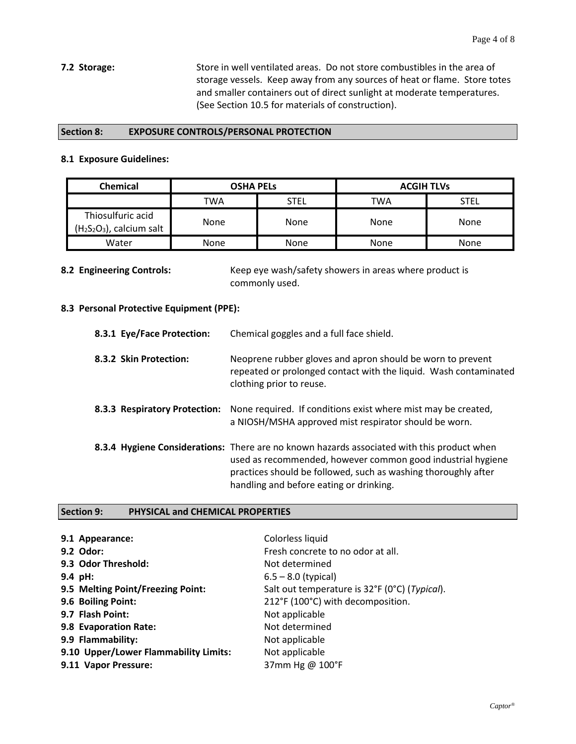**7.2 Storage:** Store in well ventilated areas. Do not store combustibles in the area of storage vessels. Keep away from any sources of heat or flame. Store totes and smaller containers out of direct sunlight at moderate temperatures. (See Section 10.5 for materials of construction).

#### **Section 8: EXPOSURE CONTROLS/PERSONAL PROTECTION**

#### **8.1 Exposure Guidelines:**

| <b>Chemical</b>                                | OSHA PELs   |             | <b>ACGIH TLVs</b> |             |
|------------------------------------------------|-------------|-------------|-------------------|-------------|
|                                                | TWA         | <b>STEL</b> | TWA               | <b>STEL</b> |
| Thiosulfuric acid<br>$(H2S2O3)$ , calcium salt | <b>None</b> | None        | None              | <b>None</b> |
| Water                                          | <b>None</b> | None        | None              | <b>None</b> |

**8.2 Engineering Controls:** Keep eye wash/safety showers in areas where product is commonly used.

# **8.3 Personal Protective Equipment (PPE):**

| 8.3.1 Eye/Face Protection:    | Chemical goggles and a full face shield.                                                                                                                                                                                                                               |
|-------------------------------|------------------------------------------------------------------------------------------------------------------------------------------------------------------------------------------------------------------------------------------------------------------------|
| 8.3.2 Skin Protection:        | Neoprene rubber gloves and apron should be worn to prevent<br>repeated or prolonged contact with the liquid. Wash contaminated<br>clothing prior to reuse.                                                                                                             |
| 8.3.3 Respiratory Protection: | None required. If conditions exist where mist may be created,<br>a NIOSH/MSHA approved mist respirator should be worn.                                                                                                                                                 |
|                               | 8.3.4 Hygiene Considerations: There are no known hazards associated with this product when<br>used as recommended, however common good industrial hygiene<br>practices should be followed, such as washing thoroughly after<br>handling and before eating or drinking. |

### **Section 9: PHYSICAL and CHEMICAL PROPERTIES**

| 9.1 Appearance:                       | Colorless liquid                              |
|---------------------------------------|-----------------------------------------------|
| 9.2 Odor:                             | Fresh concrete to no odor at all.             |
| 9.3 Odor Threshold:                   | Not determined                                |
| 9.4 pH:                               | $6.5 - 8.0$ (typical)                         |
| 9.5 Melting Point/Freezing Point:     | Salt out temperature is 32°F (0°C) (Typical). |
| 9.6 Boiling Point:                    | 212°F (100°C) with decomposition.             |
| 9.7 Flash Point:                      | Not applicable                                |
| 9.8 Evaporation Rate:                 | Not determined                                |
| 9.9 Flammability:                     | Not applicable                                |
| 9.10 Upper/Lower Flammability Limits: | Not applicable                                |
| 9.11 Vapor Pressure:                  | 37mm Hg @ 100°F                               |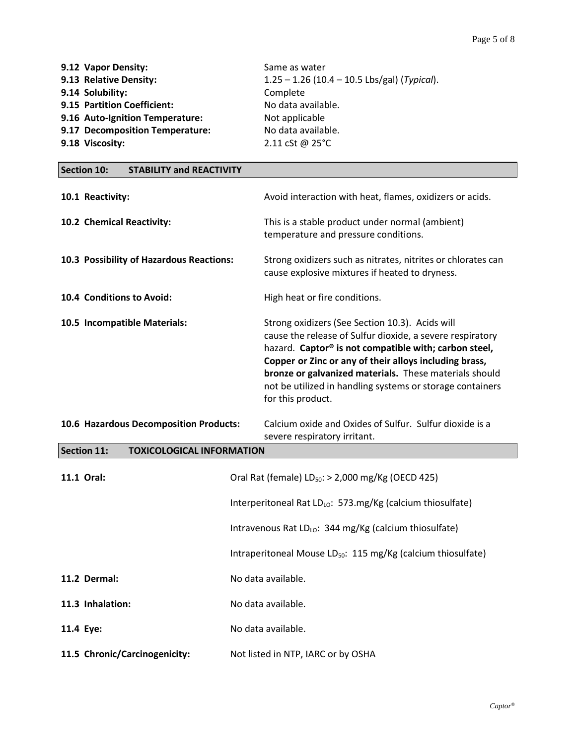| 9.12 Vapor Density:             | Same as water                                           |
|---------------------------------|---------------------------------------------------------|
| 9.13 Relative Density:          | $1.25 - 1.26$ (10.4 - 10.5 Lbs/gal) ( <i>Typical</i> ). |
| 9.14 Solubility:                | Complete                                                |
| 9.15 Partition Coefficient:     | No data available.                                      |
| 9.16 Auto-Ignition Temperature: | Not applicable                                          |
| 9.17 Decomposition Temperature: | No data available.                                      |
| 9.18 Viscosity:                 | 2.11 cSt @ $25^{\circ}$ C                               |

| <b>Section 10:</b><br><b>STABILITY and REACTIVITY</b> |                                                                                                                                                                                                                                                                                                                                                                                         |
|-------------------------------------------------------|-----------------------------------------------------------------------------------------------------------------------------------------------------------------------------------------------------------------------------------------------------------------------------------------------------------------------------------------------------------------------------------------|
| 10.1 Reactivity:                                      | Avoid interaction with heat, flames, oxidizers or acids.                                                                                                                                                                                                                                                                                                                                |
| 10.2 Chemical Reactivity:                             | This is a stable product under normal (ambient)<br>temperature and pressure conditions.                                                                                                                                                                                                                                                                                                 |
| 10.3 Possibility of Hazardous Reactions:              | Strong oxidizers such as nitrates, nitrites or chlorates can<br>cause explosive mixtures if heated to dryness.                                                                                                                                                                                                                                                                          |
| 10.4 Conditions to Avoid:                             | High heat or fire conditions.                                                                                                                                                                                                                                                                                                                                                           |
| 10.5 Incompatible Materials:                          | Strong oxidizers (See Section 10.3). Acids will<br>cause the release of Sulfur dioxide, a severe respiratory<br>hazard. Captor <sup>®</sup> is not compatible with; carbon steel,<br>Copper or Zinc or any of their alloys including brass,<br>bronze or galvanized materials. These materials should<br>not be utilized in handling systems or storage containers<br>for this product. |

| 10.6 Hazardous Decomposition Products: | Calcium oxide and Oxides of Sulfur. Sulfur dioxide is a |
|----------------------------------------|---------------------------------------------------------|
|                                        | severe respiratory irritant.                            |
|                                        |                                                         |

| <b>Section 11:</b> | <b>TOXICOLOGICAL INFORMATION</b> |                                                                          |
|--------------------|----------------------------------|--------------------------------------------------------------------------|
| 11.1 Oral:         |                                  | Oral Rat (female) $LD_{50}$ : > 2,000 mg/Kg (OECD 425)                   |
|                    |                                  | Interperitoneal Rat LD <sub>LO</sub> : 573.mg/Kg (calcium thiosulfate)   |
|                    |                                  | Intravenous Rat LD <sub>LO</sub> : 344 mg/Kg (calcium thiosulfate)       |
|                    |                                  | Intraperitoneal Mouse LD <sub>50</sub> : 115 mg/Kg (calcium thiosulfate) |
| 11.2 Dermal:       |                                  | No data available.                                                       |
| 11.3 Inhalation:   |                                  | No data available.                                                       |
| 11.4 Eye:          |                                  | No data available.                                                       |
|                    | 11.5 Chronic/Carcinogenicity:    | Not listed in NTP, IARC or by OSHA                                       |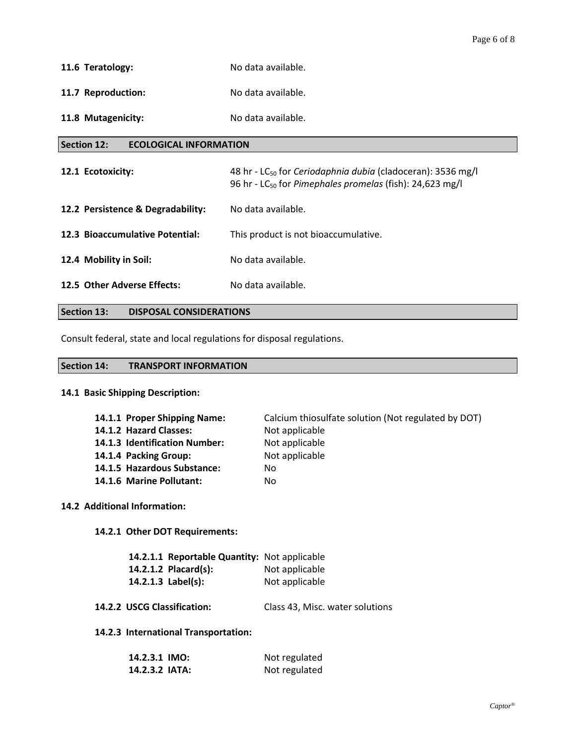- **11.6 Teratology:** No data available.
- 11.7 Reproduction: No data available.
- 11.8 Mutagenicity: No data available.

### **Section 12: ECOLOGICAL INFORMATION**

| 12.1 Ecotoxicity:                 | 48 hr - LC <sub>50</sub> for Ceriodaphnia dubia (cladoceran): 3536 mg/l<br>96 hr - LC <sub>50</sub> for Pimephales promelas (fish): 24,623 mg/l |
|-----------------------------------|-------------------------------------------------------------------------------------------------------------------------------------------------|
| 12.2 Persistence & Degradability: | No data available.                                                                                                                              |
| 12.3 Bioaccumulative Potential:   | This product is not bioaccumulative.                                                                                                            |
| 12.4 Mobility in Soil:            | No data available.                                                                                                                              |
| 12.5 Other Adverse Effects:       | No data available.                                                                                                                              |

# **Section 13: DISPOSAL CONSIDERATIONS**

Consult federal, state and local regulations for disposal regulations.

#### **Section 14: TRANSPORT INFORMATION**

# **14.1 Basic Shipping Description:**

| 14.1.1 Proper Shipping Name:  | Calcium thiosulfate solution (Not regulated by DOT) |
|-------------------------------|-----------------------------------------------------|
| 14.1.2 Hazard Classes:        | Not applicable                                      |
| 14.1.3 Identification Number: | Not applicable                                      |
| 14.1.4 Packing Group:         | Not applicable                                      |
| 14.1.5 Hazardous Substance:   | No                                                  |
| 14.1.6 Marine Pollutant:      | No                                                  |

# **14.2 Additional Information:**

**14.2.1 Other DOT Requirements:**

| <b>14.2.1.1 Reportable Quantity: Not applicable</b> |                |
|-----------------------------------------------------|----------------|
| 14.2.1.2 Placard(s):                                | Not applicable |
| 14.2.1.3 $Label(s):$                                | Not applicable |

# **14.2.2 USCG Classification:** Class 43, Misc. water solutions

# **14.2.3 International Transportation:**

| 14.2.3.1 IMO:  | Not regulated |
|----------------|---------------|
| 14.2.3.2 IATA: | Not regulated |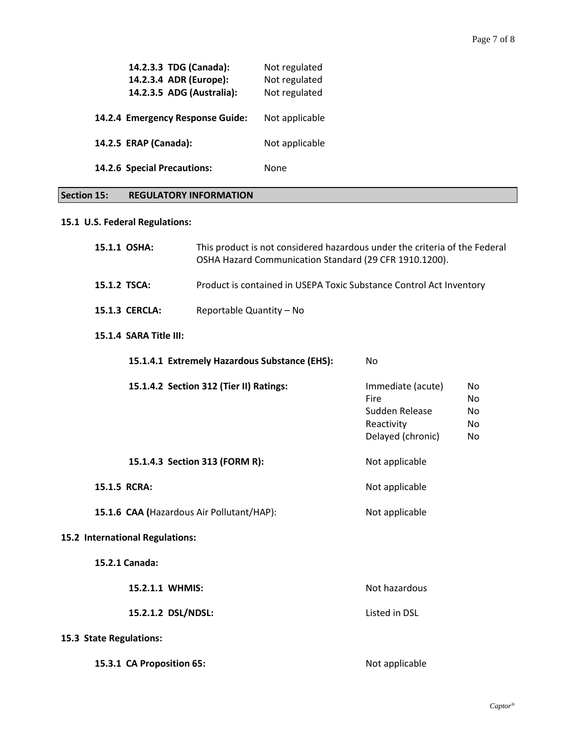| 14.2.3.3 TDG (Canada):<br>14.2.3.4 ADR (Europe):<br>14.2.3.5 ADG (Australia): | Not regulated<br>Not regulated<br>Not regulated |
|-------------------------------------------------------------------------------|-------------------------------------------------|
| 14.2.4 Emergency Response Guide:                                              | Not applicable                                  |
| 14.2.5 ERAP (Canada):                                                         | Not applicable                                  |
| 14.2.6 Special Precautions:                                                   | None                                            |

# **Section 15: REGULATORY INFORMATION**

# **15.1 U.S. Federal Regulations:**

| 15.1.1 OSHA:                                               | This product is not considered hazardous under the criteria of the Federal<br>OSHA Hazard Communication Standard (29 CFR 1910.1200). |                                                                                |                             |
|------------------------------------------------------------|--------------------------------------------------------------------------------------------------------------------------------------|--------------------------------------------------------------------------------|-----------------------------|
| 15.1.2 TSCA:                                               | Product is contained in USEPA Toxic Substance Control Act Inventory                                                                  |                                                                                |                             |
| 15.1.3 CERCLA:                                             | Reportable Quantity - No                                                                                                             |                                                                                |                             |
| 15.1.4 SARA Title III:                                     |                                                                                                                                      |                                                                                |                             |
| 15.1.4.1 Extremely Hazardous Substance (EHS):<br><b>No</b> |                                                                                                                                      |                                                                                |                             |
|                                                            | 15.1.4.2 Section 312 (Tier II) Ratings:                                                                                              | Immediate (acute)<br>Fire<br>Sudden Release<br>Reactivity<br>Delayed (chronic) | No.<br>No<br>No<br>No<br>No |
| 15.1.4.3 Section 313 (FORM R):                             |                                                                                                                                      | Not applicable                                                                 |                             |
| 15.1.5 RCRA:                                               |                                                                                                                                      | Not applicable                                                                 |                             |
| 15.1.6 CAA (Hazardous Air Pollutant/HAP):                  |                                                                                                                                      | Not applicable                                                                 |                             |
| 15.2 International Regulations:                            |                                                                                                                                      |                                                                                |                             |
| 15.2.1 Canada:                                             |                                                                                                                                      |                                                                                |                             |
| 15.2.1.1 WHMIS:                                            |                                                                                                                                      | Not hazardous                                                                  |                             |
| 15.2.1.2 DSL/NDSL:                                         |                                                                                                                                      | Listed in DSL                                                                  |                             |
| 15.3 State Regulations:                                    |                                                                                                                                      |                                                                                |                             |
| 15.3.1 CA Proposition 65:                                  |                                                                                                                                      | Not applicable                                                                 |                             |